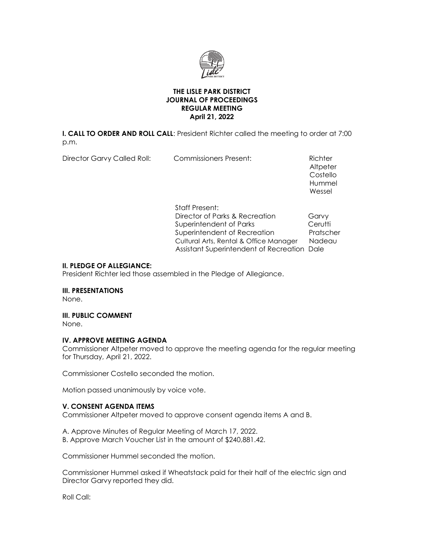

## **THE LISLE PARK DISTRICT JOURNAL OF PROCEEDINGS REGULAR MEETING April 21, 2022**

**I. CALL TO ORDER AND ROLL CALL**: President Richter called the meeting to order at 7:00 p.m.

Director Garvy Called Roll: Commissioners Present: Richter

**Altpeter**  Costello Hummel and the control of the control of the control of the control of the control of the control of the control of the control of the control of the control of the control of the control of the control of the control of t Wessel

> Staff Present: Director of Parks & Recreation Garvy Superintendent of Parks Cerutti Superintendent of Recreation Pratscher Cultural Arts, Rental & Office Manager Nadeau Assistant Superintendent of Recreation Dale

## **II. PLEDGE OF ALLEGIANCE:**

President Richter led those assembled in the Pledge of Allegiance.

### **III. PRESENTATIONS**

None.

### **III. PUBLIC COMMENT**

None.

# **IV. APPROVE MEETING AGENDA**

Commissioner Altpeter moved to approve the meeting agenda for the regular meeting for Thursday, April 21, 2022.

Commissioner Costello seconded the motion.

Motion passed unanimously by voice vote.

### **V. CONSENT AGENDA ITEMS**

Commissioner Altpeter moved to approve consent agenda items A and B.

A. Approve Minutes of Regular Meeting of March 17, 2022. B. Approve March Voucher List in the amount of \$240,881.42.

Commissioner Hummel seconded the motion.

Commissioner Hummel asked if Wheatstack paid for their half of the electric sign and Director Garvy reported they did.

Roll Call: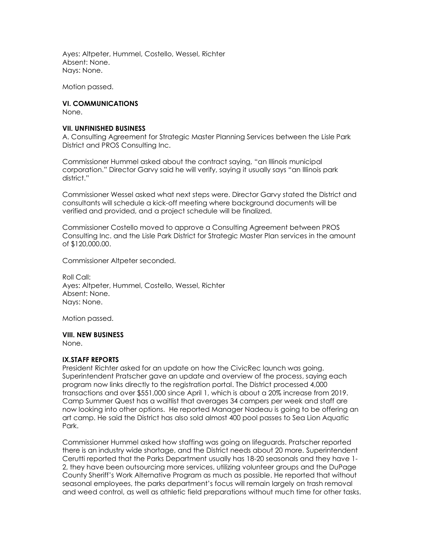Ayes: Altpeter, Hummel, Costello, Wessel, Richter Absent: None. Nays: None.

Motion passed.

# **VI. COMMUNICATIONS**

None.

### **VII. UNFINISHED BUSINESS**

A. Consulting Agreement for Strategic Master Planning Services between the Lisle Park District and PROS Consulting Inc.

Commissioner Hummel asked about the contract saying, "an Illinois municipal corporation." Director Garvy said he will verify, saying it usually says "an Illinois park district."

Commissioner Wessel asked what next steps were. Director Garvy stated the District and consultants will schedule a kick-off meeting where background documents will be verified and provided, and a project schedule will be finalized.

Commissioner Costello moved to approve a Consulting Agreement between PROS Consulting Inc. and the Lisle Park District for Strategic Master Plan services in the amount of \$120,000.00.

Commissioner Altpeter seconded.

Roll Call: Ayes: Altpeter, Hummel, Costello, Wessel, Richter Absent: None. Nays: None.

Motion passed.

# **VIII. NEW BUSINESS**

None.

# **IX.STAFF REPORTS**

President Richter asked for an update on how the CivicRec launch was going. Superintendent Pratscher gave an update and overview of the process, saying each program now links directly to the registration portal. The District processed 4,000 transactions and over \$551,000 since April 1, which is about a 20% increase from 2019. Camp Summer Quest has a waitlist that averages 34 campers per week and staff are now looking into other options. He reported Manager Nadeau is going to be offering an art camp. He said the District has also sold almost 400 pool passes to Sea Lion Aquatic Park.

Commissioner Hummel asked how staffing was going on lifeguards. Pratscher reported there is an industry wide shortage, and the District needs about 20 more. Superintendent Cerutti reported that the Parks Department usually has 18-20 seasonals and they have 1- 2, they have been outsourcing more services, utilizing volunteer groups and the DuPage County Sheriff's Work Alternative Program as much as possible. He reported that without seasonal employees, the parks department's focus will remain largely on trash removal and weed control, as well as athletic field preparations without much time for other tasks.